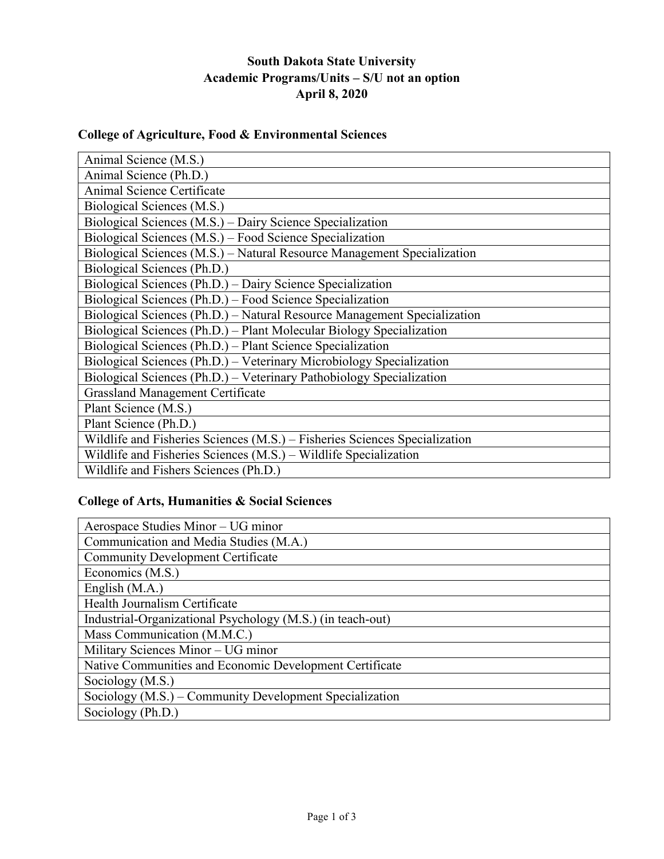# **South Dakota State University Academic Programs/Units – S/U not an option April 8, 2020**

# **College of Agriculture, Food & Environmental Sciences**

| Animal Science (M.S.)                                                      |
|----------------------------------------------------------------------------|
| Animal Science (Ph.D.)                                                     |
| Animal Science Certificate                                                 |
| Biological Sciences (M.S.)                                                 |
| Biological Sciences (M.S.) – Dairy Science Specialization                  |
| Biological Sciences (M.S.) – Food Science Specialization                   |
| Biological Sciences (M.S.) – Natural Resource Management Specialization    |
| Biological Sciences (Ph.D.)                                                |
| Biological Sciences (Ph.D.) – Dairy Science Specialization                 |
| Biological Sciences (Ph.D.) – Food Science Specialization                  |
| Biological Sciences (Ph.D.) – Natural Resource Management Specialization   |
| Biological Sciences (Ph.D.) – Plant Molecular Biology Specialization       |
| Biological Sciences (Ph.D.) – Plant Science Specialization                 |
| Biological Sciences (Ph.D.) - Veterinary Microbiology Specialization       |
| Biological Sciences (Ph.D.) – Veterinary Pathobiology Specialization       |
| <b>Grassland Management Certificate</b>                                    |
| Plant Science (M.S.)                                                       |
| Plant Science (Ph.D.)                                                      |
| Wildlife and Fisheries Sciences (M.S.) – Fisheries Sciences Specialization |
| Wildlife and Fisheries Sciences (M.S.) – Wildlife Specialization           |
| Wildlife and Fishers Sciences (Ph.D.)                                      |

#### **College of Arts, Humanities & Social Sciences**

| Aerospace Studies Minor – UG minor                         |
|------------------------------------------------------------|
| Communication and Media Studies (M.A.)                     |
| <b>Community Development Certificate</b>                   |
| Economics (M.S.)                                           |
| English (M.A.)                                             |
| Health Journalism Certificate                              |
| Industrial-Organizational Psychology (M.S.) (in teach-out) |
| Mass Communication (M.M.C.)                                |
| Military Sciences Minor - UG minor                         |
| Native Communities and Economic Development Certificate    |
| Sociology (M.S.)                                           |
| Sociology (M.S.) – Community Development Specialization    |
| Sociology (Ph.D.)                                          |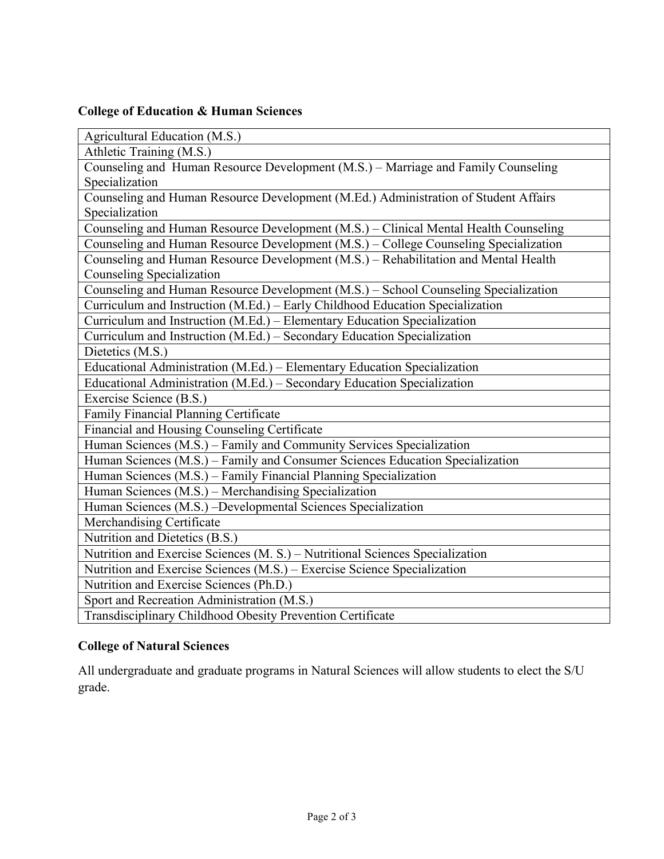# **College of Education & Human Sciences**

| Agricultural Education (M.S.)                                                        |
|--------------------------------------------------------------------------------------|
| Athletic Training (M.S.)                                                             |
| Counseling and Human Resource Development (M.S.) – Marriage and Family Counseling    |
| Specialization                                                                       |
| Counseling and Human Resource Development (M.Ed.) Administration of Student Affairs  |
| Specialization                                                                       |
| Counseling and Human Resource Development (M.S.) - Clinical Mental Health Counseling |
| Counseling and Human Resource Development (M.S.) - College Counseling Specialization |
| Counseling and Human Resource Development (M.S.) – Rehabilitation and Mental Health  |
| <b>Counseling Specialization</b>                                                     |
| Counseling and Human Resource Development (M.S.) - School Counseling Specialization  |
| Curriculum and Instruction (M.Ed.) - Early Childhood Education Specialization        |
| Curriculum and Instruction (M.Ed.) - Elementary Education Specialization             |
| Curriculum and Instruction (M.Ed.) - Secondary Education Specialization              |
| Dietetics (M.S.)                                                                     |
| Educational Administration (M.Ed.) – Elementary Education Specialization             |
| Educational Administration (M.Ed.) - Secondary Education Specialization              |
| Exercise Science (B.S.)                                                              |
| Family Financial Planning Certificate                                                |
| Financial and Housing Counseling Certificate                                         |
| Human Sciences (M.S.) - Family and Community Services Specialization                 |
| Human Sciences (M.S.) - Family and Consumer Sciences Education Specialization        |
| Human Sciences (M.S.) - Family Financial Planning Specialization                     |
| Human Sciences (M.S.) – Merchandising Specialization                                 |
| Human Sciences (M.S.) -Developmental Sciences Specialization                         |
| Merchandising Certificate                                                            |
| Nutrition and Dietetics (B.S.)                                                       |
| Nutrition and Exercise Sciences (M. S.) – Nutritional Sciences Specialization        |
| Nutrition and Exercise Sciences (M.S.) – Exercise Science Specialization             |
| Nutrition and Exercise Sciences (Ph.D.)                                              |
| Sport and Recreation Administration (M.S.)                                           |
| Transdisciplinary Childhood Obesity Prevention Certificate                           |

# **College of Natural Sciences**

All undergraduate and graduate programs in Natural Sciences will allow students to elect the S/U grade.